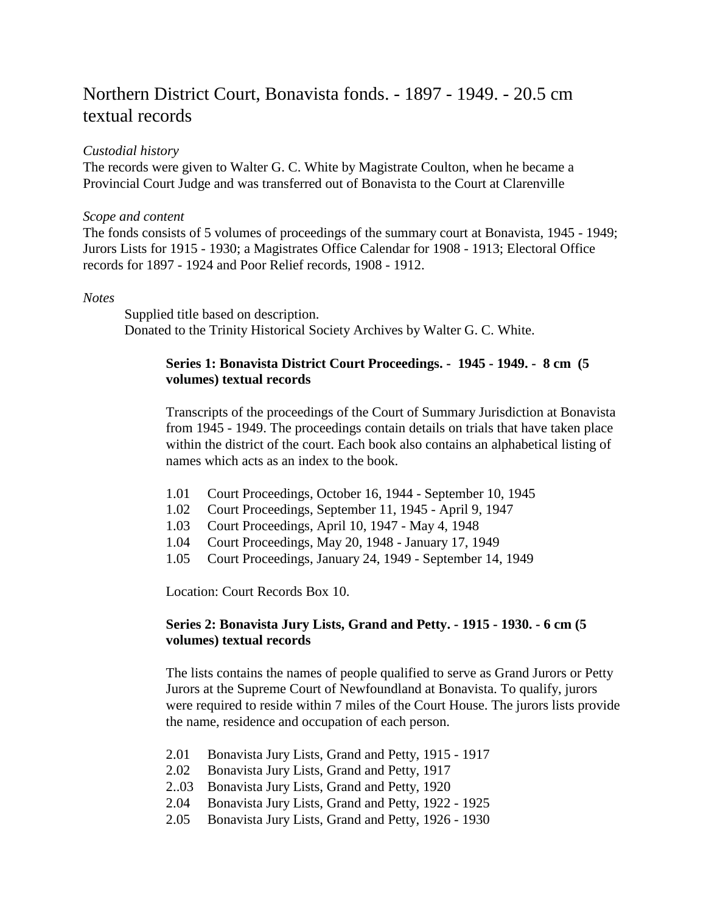# Northern District Court, Bonavista fonds. - 1897 - 1949. - 20.5 cm textual records

#### *Custodial history*

The records were given to Walter G. C. White by Magistrate Coulton, when he became a Provincial Court Judge and was transferred out of Bonavista to the Court at Clarenville

#### *Scope and content*

The fonds consists of 5 volumes of proceedings of the summary court at Bonavista, 1945 - 1949; Jurors Lists for 1915 - 1930; a Magistrates Office Calendar for 1908 - 1913; Electoral Office records for 1897 - 1924 and Poor Relief records, 1908 - 1912.

#### *Notes*

Supplied title based on description. Donated to the Trinity Historical Society Archives by Walter G. C. White.

## **Series 1: Bonavista District Court Proceedings. - 1945 - 1949. - 8 cm (5 volumes) textual records**

Transcripts of the proceedings of the Court of Summary Jurisdiction at Bonavista from 1945 - 1949. The proceedings contain details on trials that have taken place within the district of the court. Each book also contains an alphabetical listing of names which acts as an index to the book.

- 1.01 Court Proceedings, October 16, 1944 September 10, 1945
- 1.02 Court Proceedings, September 11, 1945 April 9, 1947
- 1.03 Court Proceedings, April 10, 1947 May 4, 1948
- 1.04 Court Proceedings, May 20, 1948 January 17, 1949
- 1.05 Court Proceedings, January 24, 1949 September 14, 1949

Location: Court Records Box 10.

## **Series 2: Bonavista Jury Lists, Grand and Petty. - 1915 - 1930. - 6 cm (5 volumes) textual records**

The lists contains the names of people qualified to serve as Grand Jurors or Petty Jurors at the Supreme Court of Newfoundland at Bonavista. To qualify, jurors were required to reside within 7 miles of the Court House. The jurors lists provide the name, residence and occupation of each person.

- 2.01 Bonavista Jury Lists, Grand and Petty, 1915 1917
- 2.02 Bonavista Jury Lists, Grand and Petty, 1917
- 2..03 Bonavista Jury Lists, Grand and Petty, 1920
- 2.04 Bonavista Jury Lists, Grand and Petty, 1922 1925
- 2.05 Bonavista Jury Lists, Grand and Petty, 1926 1930